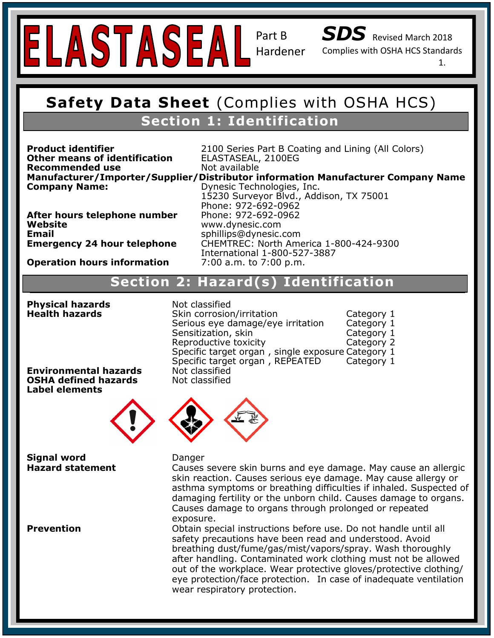

Part B

*SDS* Revised March 2018

Complies with OSHA HCS Standards

1.

### **Safety Data Sheet (Complies with OSHA H Safety Data Sheet** (Complies with OSHA HCS) **Section 1: Identification**

**Other means of identification** ELASTASEAL, 2100EG **Recommended use** Not available

**Recommended use Inot available**<br>Manufacturer/Importer/Supplier/Distributor information Manufacturer Company Name **Company Name:** <sup>21</sup><br>Company Name: <sup>Dynesic Technologies, Inc.</sup> **After hours telephone number** Phone: 972-692-0962<br>Wabaita **Product identifier Exercise 2100 Series Part B Coating and Lining (All Colors)** 15230 Surveyor Blvd., Addison, TX 75001 Phone: 972-692-0962

**Emergency Contact:** Same as Above Website<br>Email **Emergency 24 hour telephone**  **Website** www.dynesic.com **Email** sphillips@dynesic.com **Emergency 24 hour telephone** CHEMTREC: North America 1-800-424-9300 International 1-800-527-3887

**Operation hours information 2:00 a.m. to 7:00 p.m.** 

#### **Section 2: Hazard Statement(s): H317 Prolonged exposure may cause an allergic skin reaction. Section 2: Hazard(s) Identification Section 2: Hazard(s) Identification Section 2: Hazard(s) Identification**

**Health hazards Physical hazards** Not classified

Phone: 972-692-0962

**Precautionary Specific target organ , REPEATED Category 1** Not classified Not classified **Skin corrosion/irritation Francisc Category 1**<br>**Serious eye damage/eye irritation Francisc Category 1** Serious eye damage/eye irritation Sensitization, skin Category 1 Reproductive toxicity **Category 2** Specific target organ , single exposure Category 1

**Environmental hazards OSHA defined hazards Label elements**



**Hazard statement Signal word Danger** 

P261: Avoid breathing dust/fume/gas/mist/vapors/spray. P280: Wear Protective gloves/protective clothing/eye and face protection. P333+P313: If skin irritation/rash occurs, get medical attention. P501: Dispose of contents/container in accordance with local/regional/national and intl. regulations.

skin reaction. Causes serious eye damage. May cause allergy or asthma symptoms or breathing difficulties if inhaled. Suspected of damaging fertility or the unborn child. Causes damage to organs.<br>Causes damage to exagge through nucleaged as reported Causes severe skin burns and eye damage. May cause an allergic Causes damage to organs through prolonged or repeated exposure.

**Prevention EXPLET BEALTH:** 1 Constructions before use. Do not handle until all safety precautions have been read and understood. Avoid breathing dust/fume/gas/mist/vapors/spray. Wash thoroughly after handling. Contaminated work clothing must not be allowed out of the workplace. Wear protective gloves/protective clothing/ eye protection/face protection. In case of inadequate ventilation wear respiratory protection.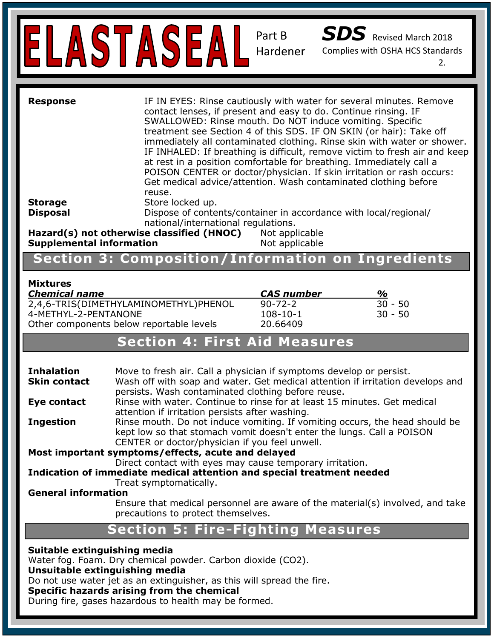

| <b>Response</b>                                                              | IF IN EYES: Rinse cautiously with water for several minutes. Remove<br>contact lenses, if present and easy to do. Continue rinsing. IF<br>SWALLOWED: Rinse mouth. Do NOT induce vomiting. Specific<br>treatment see Section 4 of this SDS. IF ON SKIN (or hair): Take off<br>immediately all contaminated clothing. Rinse skin with water or shower.<br>IF INHALED: If breathing is difficult, remove victim to fresh air and keep<br>at rest in a position comfortable for breathing. Immediately call a<br>POISON CENTER or doctor/physician. If skin irritation or rash occurs:<br>Get medical advice/attention. Wash contaminated clothing before<br>reuse. |                                  |
|------------------------------------------------------------------------------|-----------------------------------------------------------------------------------------------------------------------------------------------------------------------------------------------------------------------------------------------------------------------------------------------------------------------------------------------------------------------------------------------------------------------------------------------------------------------------------------------------------------------------------------------------------------------------------------------------------------------------------------------------------------|----------------------------------|
| <b>Storage</b>                                                               | Store locked up.                                                                                                                                                                                                                                                                                                                                                                                                                                                                                                                                                                                                                                                |                                  |
| <b>Disposal</b>                                                              | Dispose of contents/container in accordance with local/regional/<br>national/international regulations.                                                                                                                                                                                                                                                                                                                                                                                                                                                                                                                                                         |                                  |
| Hazard(s) not otherwise classified (HNOC)<br><b>Supplemental information</b> |                                                                                                                                                                                                                                                                                                                                                                                                                                                                                                                                                                                                                                                                 | Not applicable<br>Not applicable |

SDS Revised March 2018

Complies with OSHA HCS Standards

2.

# **Section 3: Composition/Information on Ingredients**

**Section 2: Hazard(s) Identification**

# **Signal Word: Warning Mixtures**

| <i><b>CAS number</b></i> | $\frac{1}{2}$ |
|--------------------------|---------------|
| $90 - 72 - 2$            | 30 - 50       |
| $108 - 10 - 1$           | 30 - 50       |
| 20.66409                 |               |
|                          |               |

## **Section 4: First Aid Measures**

| <b>Inhalation</b><br><b>Skin contact</b>                                                                       | Move to fresh air. Call a physician if symptoms develop or persist.<br>Wash off with soap and water. Get medical attention if irritation develops and<br>persists. Wash contaminated clothing before reuse. |  |  |
|----------------------------------------------------------------------------------------------------------------|-------------------------------------------------------------------------------------------------------------------------------------------------------------------------------------------------------------|--|--|
| Eye contact                                                                                                    | Rinse with water. Continue to rinse for at least 15 minutes. Get medical<br>attention if irritation persists after washing.                                                                                 |  |  |
| <b>Ingestion</b>                                                                                               | Rinse mouth. Do not induce vomiting. If vomiting occurs, the head should be<br>kept low so that stomach vomit doesn't enter the lungs. Call a POISON<br>CENTER or doctor/physician if you feel unwell.      |  |  |
| Most important symptoms/effects, acute and delayed<br>Direct contact with eyes may cause temporary irritation. |                                                                                                                                                                                                             |  |  |
|                                                                                                                | Indication of immediate medical attention and special treatment needed<br>Treat symptomatically.                                                                                                            |  |  |
| <b>General information</b>                                                                                     |                                                                                                                                                                                                             |  |  |
|                                                                                                                | Ensure that medical personnel are aware of the material(s) involved, and take<br>precautions to protect themselves.                                                                                         |  |  |
|                                                                                                                | <b>Section 5: Fire-Fighting Measures</b>                                                                                                                                                                    |  |  |
| Suitable extinguishing media                                                                                   |                                                                                                                                                                                                             |  |  |

Water fog. Foam. Dry chemical powder. Carbon dioxide (CO2).

### **Unsuitable extinguishing media**

Do not use water jet as an extinguisher, as this will spread the fire.

### **Specific hazards arising from the chemical**

During fire, gases hazardous to health may be formed.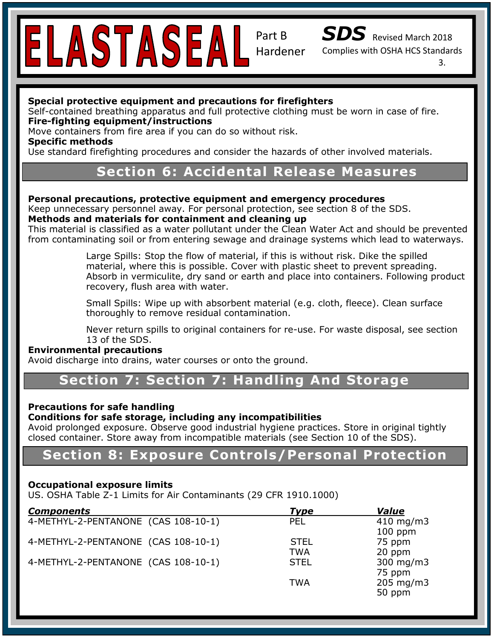

Part B Hardener



Complies with OSHA HCS Standards

3.

### **Special protective equipment and precautions for firefighters**

Self-contained breathing apparatus and full protective clothing must be worn in case of fire.<br>-**Fire-fighting equipment/instructions** 

#### Move containers from fire area if you can do so without risk.

**Specific methods** 

**Specific methods**<br>Use standard firefighting procedures and consider the hazards of other involved materials.

### **Trade Section 6: Accidental Release Measures Contact Information:** Dynesic Technologies, Inc. 15230 Surveyor Blvd., Addison, TX 75001

## Personal precautions, protective equipment and emergency procedures

Keep unnecessary personnel away. For personal protection, see section 8 of the SDS. **Methods and materials for containment and cleaning up** 

This material is classified as a water pollutant under the Clean Water Act and should be prevented from contaminating soil or from entering sewage and drainage systems which lead to waterways.

material, where this is possible. Cover with plastic sheet to prevent spreading. Absorb in vermiculite, dry sand or earth and place into containers. Following product recovery, flush area with water. Large Spills: Stop the flow of material, if this is without risk. Dike the spilled

> Small Spills: Wipe up with absorbent material (e.g. cloth, fleece). Clean surface thoroughly to remove residual contamination.

Never return spills to original containers for re-use. For waste disposal, see section 13 of the SDS.

#### **Environmental precautions**

Avoid discharge into drains, water courses or onto the ground.

#### P102: Keep out of reach of children . **Section 7: Section 7: Handling And Storage**

#### $P^2$ 80: Wear Protective gloves/protective gloves/protective clothing/eye and face protective protective protective protective  $\mathcal{P}^2$ **Precautions for safe handling**

### **Conditions for safe storage, including any incompatibilities**

Avoid prolonged exposure. Observe good industrial hygiene practices. Store in original tightly<br>closed sentainary Stare away from incompatible materials (see Section 10 of the SDS) closed container. Store away from incompatible materials (see Section 10 of the SDS).

### **NFPA Rating:** Health: 1 **Section 8: Exposure Controls/Personal Protection**

## Flammability: 1 **Occupational exposure limits**

UCCapational Exposure nints<br>US. OSHA Table Z-1 Limits for Air Contaminants (29 CFR 1910.1000)  $S$ 

| <b>Components</b>                   | <b>Type</b> | <b>Value</b>       |
|-------------------------------------|-------------|--------------------|
| 4-METHYL-2-PENTANONE (CAS 108-10-1) | <b>PEL</b>  | $410 \; mg/m3$     |
|                                     |             | $100$ ppm          |
| 4-METHYL-2-PENTANONE (CAS 108-10-1) | <b>STEL</b> | 75 ppm             |
|                                     | <b>TWA</b>  | 20 ppm             |
| 4-METHYL-2-PENTANONE (CAS 108-10-1) | <b>STEL</b> | $300$ mg/m $3$     |
|                                     |             | 75 ppm             |
|                                     | <b>TWA</b>  | $205 \text{ mg/m}$ |
|                                     |             | 50 ppm             |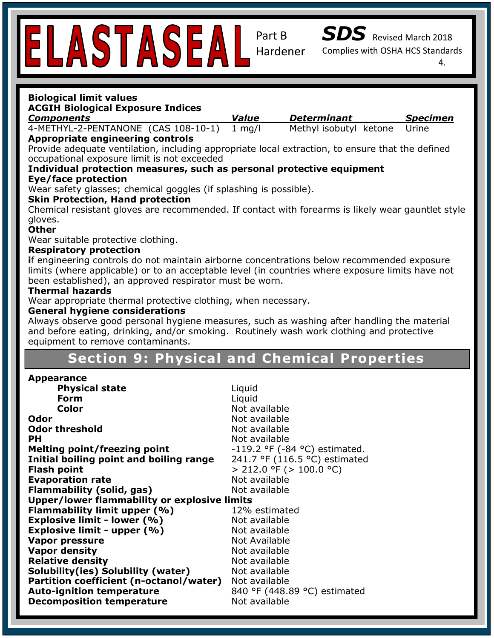**Biological limit values** 

Part B Hardener



Complies with OSHA HCS Standards

4.

| <b>Components</b><br>4-METHYL-2-PENTANONE (CAS 108-10-1)                                          | <b>Value</b>     | <b>Determinant</b>                 | <b>Specimen</b> |
|---------------------------------------------------------------------------------------------------|------------------|------------------------------------|-----------------|
|                                                                                                   | $1 \text{ mg/l}$ | Methyl isobutyl ketone             | Urine           |
| <b>Appropriate engineering controls</b>                                                           |                  |                                    |                 |
| Provide adequate ventilation, including appropriate local extraction, to ensure that the defined  |                  |                                    |                 |
| occupational exposure limit is not exceeded                                                       |                  |                                    |                 |
| Individual protection measures, such as personal protective equipment                             |                  |                                    |                 |
| <b>Eye/face protection</b>                                                                        |                  |                                    |                 |
| Wear safety glasses; chemical goggles (if splashing is possible).                                 |                  |                                    |                 |
| <b>Skin Protection, Hand protection</b>                                                           |                  |                                    |                 |
| Chemical resistant gloves are recommended. If contact with forearms is likely wear gauntlet style |                  |                                    |                 |
| gloves.                                                                                           |                  |                                    |                 |
| <b>Other</b>                                                                                      |                  |                                    |                 |
| Wear suitable protective clothing.                                                                |                  |                                    |                 |
| <b>Respiratory protection</b>                                                                     |                  |                                    |                 |
| if engineering controls do not maintain airborne concentrations below recommended exposure        |                  |                                    |                 |
| limits (where applicable) or to an acceptable level (in countries where exposure limits have not  |                  |                                    |                 |
| been established), an approved respirator must be worn.                                           |                  |                                    |                 |
| <b>Thermal hazards</b>                                                                            |                  |                                    |                 |
| Wear appropriate thermal protective clothing, when necessary.                                     |                  |                                    |                 |
| <b>General hygiene considerations</b>                                                             |                  |                                    |                 |
| Always observe good personal hygiene measures, such as washing after handling the material        |                  |                                    |                 |
| and before eating, drinking, and/or smoking. Routinely wash work clothing and protective          |                  |                                    |                 |
| equipment to remove contaminants.                                                                 |                  |                                    |                 |
| <b>Section 9: Physical and Chemical Properties</b>                                                |                  |                                    |                 |
|                                                                                                   |                  |                                    |                 |
|                                                                                                   |                  |                                    |                 |
| <b>Appearance</b>                                                                                 |                  |                                    |                 |
| <b>Physical state</b>                                                                             | Liquid           |                                    |                 |
| <b>Form</b>                                                                                       | Liquid           |                                    |                 |
| Color                                                                                             | Not available    |                                    |                 |
| <b>Odor</b>                                                                                       | Not available    |                                    |                 |
| <b>Odor threshold</b>                                                                             | Not available    |                                    |                 |
| <b>PH</b>                                                                                         | Not available    |                                    |                 |
| <b>Melting point/freezing point</b>                                                               |                  | $-119.2$ °F ( $-84$ °C) estimated. |                 |
| Initial boiling point and boiling range                                                           |                  | 241.7 °F (116.5 °C) estimated      |                 |
| <b>Flash point</b>                                                                                |                  | $>$ 212.0 °F ( $>$ 100.0 °C)       |                 |
| <b>Evaporation rate</b>                                                                           | Not available    |                                    |                 |
| <b>Flammability (solid, gas)</b>                                                                  | Not available    |                                    |                 |
| <b>Upper/lower flammability or explosive limits</b>                                               | 12% estimated    |                                    |                 |
| Flammability limit upper (%)                                                                      |                  |                                    |                 |
| <b>Explosive limit - lower (%)</b>                                                                | Not available    |                                    |                 |
| Explosive limit - upper (%)                                                                       | Not available    |                                    |                 |
| <b>Vapor pressure</b>                                                                             | Not Available    |                                    |                 |
| <b>Vapor density</b>                                                                              | Not available    |                                    |                 |
| <b>Relative density</b>                                                                           | Not available    |                                    |                 |
| Solubility(ies) Solubility (water)                                                                | Not available    |                                    |                 |
| Partition coefficient (n-octanol/water)                                                           | Not available    |                                    |                 |
| <b>Auto-ignition temperature</b><br><b>Decomposition temperature</b>                              | Not available    | 840 °F (448.89 °C) estimated       |                 |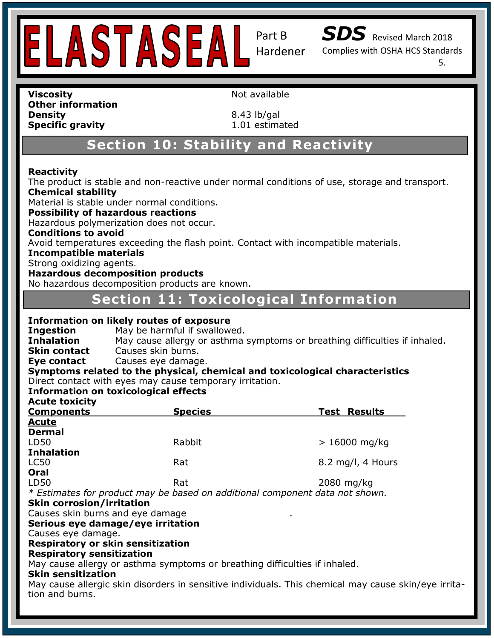

Part B

*SDS* Revised March 2018

Complies with OSHA HCS Standards

5.

**Viscosity Not available Not available Other information Density** 8.43 lb/gal **Specific gravity** 1.01 estimated

**Safety Data Sheet (See Sheet (Compared With OSHA BC)** 

# **Section 10: Stability and Reactivity**

### **Reactivity Name: Reactivity**

The product is stable and non-reactive under normal conditions of use, storage and transport. **Chemical stability** 

Material is stable under normal conditions.

**Platefial is stable under hormal conditions** 

**Recommended Uses: Index Constant, USE:** The model of induction of induction of induction does not occur.<br>Hazardous polymerization does not occur.

## **Conditions to avoid**

Avoid temperatures exceeding the flash point. Contact with incompatible materials.

### **Incompatible materials**

**Harac**oxidizing agents.<br> **Category 2** 

## **Hazardous decomposition products<br>Ne hazardous decomposition products are known**

**Hazardous decomposition products**<br>No hazardous decomposition products are known.

# **Hazardess deemposited produce are known:**<br>Section 11: Toxicological Information

| <b>Information on likely routes of exposure</b> |  |  |
|-------------------------------------------------|--|--|
|                                                 |  |  |

**Ingestion** May be harmful if swallowed. **Inhalation** May cause allergy or asthma symptoms or breathing difficulties if inhaled. **Skin contact** Causes skin burns.

**Precaution Causes eye damage. P101: If advice is needed, have product contact contact container or label at hand.** 

Symptoms related to the physical, chemical and toxicological characteristics Direct contact with eyes may cause temporary irritation.

#### P261: Avoid breathing dust/fume/gas/mist/vapors/spray. **Information on toxicological effects**

**Acute toxicity** 

| HUULU LUAIUILT<br><b>Components</b> | <b>Species</b>                                                               | <b>Test Results</b>          |
|-------------------------------------|------------------------------------------------------------------------------|------------------------------|
| <b>Acute</b>                        |                                                                              |                              |
| <b>Dermal</b>                       |                                                                              |                              |
| LD50                                | Rabbit                                                                       | $>16000$ mg/kg               |
| <b>Inhalation</b>                   |                                                                              |                              |
| LC50                                | Rat                                                                          | $8.2 \text{ mg/l}$ , 4 Hours |
| Oral                                |                                                                              |                              |
| LD50                                | Rat                                                                          | $2080$ mg/kg                 |
|                                     | * Estimates for product may be based on additional component data not shown. |                              |

#### $\mathbf{S}$ **Skin corrosion/irritation**

Causes skin burns and eye damage .

## **HIMS ® Rating:** Health: 1 **Serious eye damage/eye irritation**

Causes eye damage.

#### Flammability: 1 Respiratory or skin sensitization<br>Pespiratory sensitization

**Respiratory sensitization** 

recepresser, concrement in

#### **Skin sensitization**

May cause allergic skin disorders in sensitive individuals. This chemical may cause skin/eye irritation and burns.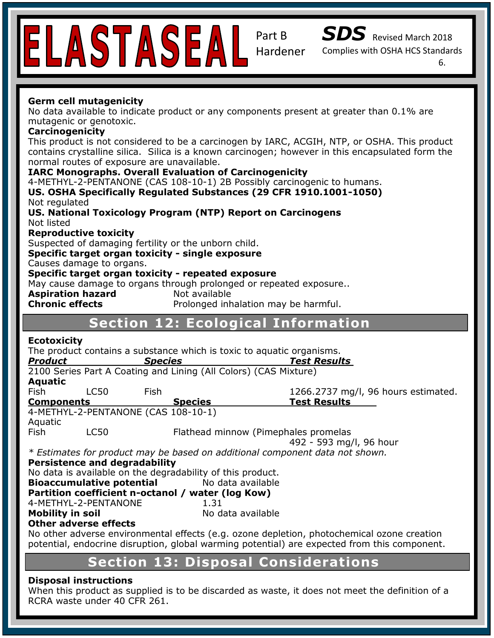

Part B



Complies with OSHA HCS Standards

6.

### **Germ cell mutagenicity**

No data available to indicate product or any components present at greater than 0.1% are mutagenic or genotoxic.

#### **Carcinogenicity**

This product is not considered to be a carcinogen by IARC, ACGIH, NTP, or OSHA. This product<br>contains crystalling silica. Silica is a known carcinogen: however in this encapsulated form the contains crystalline silica. Silica is a known carcinogen; however in this encapsulated form the normal routes of exposure are unavailable.

#### **IARC Monographs. Overall Evaluation of Carcinogenicity**

4-METHYL-2-PENTANONE (CAS 108-10-1) 2B Possibly carcinogenic to humans.

**US. OSHA Specifically Regulated Substances (29 CFR 1910.1001-1050) FRANCIE CONTACT: SOLICY CONTACT: SAME ASSESS**<br>The Motional Textoology Drog: Not regulated

**US. National Toxicology Program (NTP) Report on Carcinogens<br>Not listed** Not listed

## **Reproductive toxicity**

Suspected of damaging fertility or the unborn child.

#### **Specific target organ toxicity - single exposure**

**Hazard Causes damage to organs.**<br> **Causes damage to organs.** 

#### **Specific target organitoxicity -Specific target organ toxicity - repeated exposure** *Specific target organ toxicity - repeated exposure**avagence*

May cause damage to organs through prolonged or repeated exposure..<br>**Asniration bazard** and available

**Aspiration hazard Mot available** 

**Pictogram: Chronic effects** Prolonged inhalation may be harmful.

## **Section 12: Ecological Information**

#### **Ecotoxicity**

The product contains a substance which is toxic to aquatic organisms.

| Product           |                               | <b>Species</b>                                                   | <b>Test Results</b>                                                          |
|-------------------|-------------------------------|------------------------------------------------------------------|------------------------------------------------------------------------------|
|                   |                               | 2100 Series Part A Coating and Lining (All Colors) (CAS Mixture) |                                                                              |
| Aquatic           |                               |                                                                  |                                                                              |
| Fish              | LC50                          | <b>Fish</b>                                                      | 1266.2737 mg/l, 96 hours estimated.                                          |
| <b>Components</b> |                               | <b>Species</b>                                                   | <b>Test Results</b>                                                          |
| Aquatic           |                               | 4-METHYL-2-PENTANONE (CAS 108-10-1)                              |                                                                              |
| <b>Fish</b>       | LC50                          |                                                                  | Flathead minnow (Pimephales promelas                                         |
|                   |                               |                                                                  | 492 - 593 mg/l, 96 hour                                                      |
|                   |                               |                                                                  | * Estimates for product may be based on additional component data not shown. |
|                   | Develatence and decuadability |                                                                  |                                                                              |

Persistence and degradability<br>Ne data is available on the degradability of this **Persistence and degradability** 

No data is available on the degradability of this product.<br>**Bioaccumulative potential** Mo data available

**Bioaccumulative potential** No data available

Instability: 0 **Partition coefficient n-octanol / water (log Kow)**   $1.31$ 

4-METHYL-2-PENTANONE

**Mobility in soil No data available** 

## **Other adverse effects**

No other adverse environmental effects (e.g. ozone depletion, photochemical ozone creation<br>natastial, endeavire discussion alabel weweige natastial) are superted from this company with potential, endocrine disruption, global warming potential) are expected from this component.

# **Section 13: Disposal Considerations**

#### **Disposal instructions**

When this product as supplied is to be discarded as waste, it does not meet the definition of a RCRA waste under 40 CFR 261.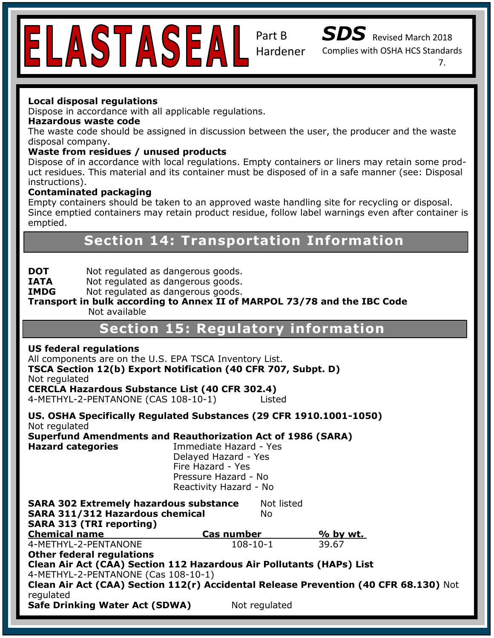

Part B Hardener



Complies with OSHA HCS Standards

7.

## **Local disposal regulations**

Dispose in accordance with all applicable regulations.

### **Hazardous waste code**

disposal company.<br>**Waste from residues / unused products** The waste code should be assigned in discussion between the user, the producer and the waste disposal company.

uct residues. This material and its container must be disposed of in a safe manner (see: Disposal **Contact Information:** Dynesic Technologies, Inc. 15230 Surveyor Blvd., Addison, TX 75001 instructions). Dispose of in accordance with local regulations. Empty containers or liners may retain some prod-

## **Contaminated packaging**

**Emply Containers Should be lake**<br>Since emptied containers may re Since emptied containers may retain product residue, follow label warnings even after container is<br>emptied outdoor surfaces. Empty containers should be taken to an approved waste handling site for recycling or disposal. emptied.

# **Chemical Section 14: Transportation Information**

**DOT** Not regulated as dangerous goods. **DOT** Not regulated as dangerous goods.<br>**IATA** Not regulated as dangerous goods.

**IMDG** Not regulated as dangerous goods.

#### **Transport in bulk according to Annex II of MARPOL 73/78 and the IBC Code**  Not available

# **Section 15: Regulatory information**

#### **US federal regulations**

All components are on the U.S. EPA TSCA Inventory List.

TSCA Section 12(b) Export Notification (40 CFR 707, Subpt. D) Not regulated

not regulated<br>**CERCLA Hazardous Substance List (40 CFR 302.4)** 

P261: Avoid breathing dust/fume/gas/mist/vapors/spray. 4-METHYL-2-PENTANONE (CAS 108-10-1) Listed

P280: Wear Protective gloves/protective clothing/eye and face protection. **US. OSHA Specifically Regulated Substances (29 CFR 1910.1001-1050)**  $\blacksquare$ Not regulated

**Not regulated**<br>Superfund Amendments and Reauthorization Act of 1986 (SARA) and intl. regulations. **Hazard categories** Immediate Hazard - Yes **NFRPA RATION FIRE Hazard - Yes** Pressure Hazard - No Reactivity Hazard - No Delayed Hazard - Yes

**SARA 302 Extremely hazardous substance** Not listed **HIMS ® Rating:** Health: 1 **SARA 313 (TRI reporting)**   $\frac{\text{Cas number}}{108-10-1}$  $\frac{1}{\sqrt{2}}$ **SARA 311/312 Hazardous chemical** No **Chemical name Cas number % by wt.**  4-METHYL-2-PENTANONE 108-10-1 39.67

**Other federal regulations** 

**Candin Protection Conduction**<br>Clean Air Act (CAA) Section 112 Hazardous Air Pollutants (HAPs) List <sub>i</sub> 4-METHYL-2-PENTANONE (Cas 108-10-1)

**Clean Air Act (CAA) Section 112(r) Accidental Release Prevention (40 CFR 68.130)** Not regulated

**Safe Drinking Water Act (SDWA)** Not regulated